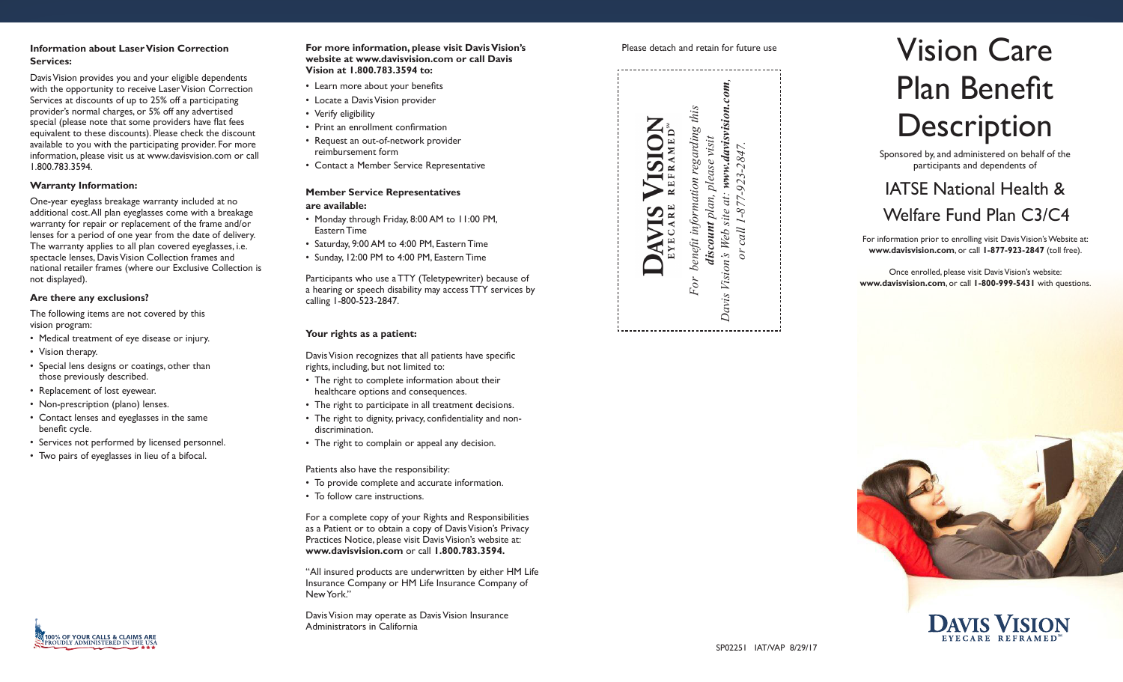### **Information about Laser Vision Correction Services:**

Davis Vision provides you and your eligible dependents with the opportunity to receive Laser Vision Correction Services at discounts of up to 25% off a participating provider's normal charges, or 5% off any advertised special (please note that some providers have flat fees equivalent to these discounts). Please check the discount available to you with the participating provider. For more information, please visit us at www.davisvision.com or call 1.800.783.3594.

#### **Warranty Information:**

One-year eyeglass breakage warranty included at no additional cost. All plan eyeglasses come with a breakage warranty for repair or replacement of the frame and/or lenses for a period of one year from the date of delivery. The warranty applies to all plan covered eyeglasses, i.e. spectacle lenses, Davis Vision Collection frames and national retailer frames (where our Exclusive Collection is not displayed).

#### **Are there any exclusions?**

The following items are not covered by this vision program:

- Medical treatment of eye disease or injury.
- Vision therapy.
- Special lens designs or coatings, other than those previously described.
- Replacement of lost eyewear.
- Non-prescription (plano) lenses.
- Contact lenses and eyeglasses in the same benefit cycle.
- Services not performed by licensed personnel.
- Two pairs of eyeglasses in lieu of a bifocal.

#### **For more information, please visit Davis Vision's website at www.davisvision.com or call Davis Vision at 1.800.783.3594 to:**

- Learn more about your benefits
- Locate a Davis Vision provider
- Verify eligibility
- Print an enrollment confirmation
- Request an out-of-network provider
- reimbursement form
- Contact a Member Service Representative

#### **Member Service Representatives**

#### **are available:**

- Monday through Friday, 8:00 AM to 11:00 PM, Eastern Time
- Saturday, 9:00 AM to 4:00 PM, Eastern Time
- Sunday, 12:00 PM to 4:00 PM, Eastern Time

Participants who use a TTY (Teletypewriter) because of a hearing or speech disability may access TTY services by calling 1-800-523-2847.

#### **Your rights as a patient:**

Davis Vision recognizes that all patients have specific rights, including, but not limited to:

- The right to complete information about their healthcare options and consequences.
- The right to participate in all treatment decisions.
- The right to dignity, privacy, confidentiality and nondiscrimination.
- The right to complain or appeal any decision.
- Patients also have the responsibility:
- To provide complete and accurate information.
- To follow care instructions.

For a complete copy of your Rights and Responsibilities as a Patient or to obtain a copy of Davis Vision's Privacy Practices Notice, please visit Davis Vision's website at: **www.davisvision.com** or call **1.800.783.3594.**

"All insured products are underwritten by either HM Life Insurance Company or HM Life Insurance Company of New York."

Davis Vision may operate as Davis Vision Insurance Administrators in California



# Please detach and retain for future use **Vision Care** Plan Benefit **Description**

Sponsored by, and administered on behalf of the participants and dependents of

## IATSE National Health &

### Welfare Fund Plan C3/C4

For information prior to enrolling visit Davis Vision's Website at: **www.davisvision.com**, or call **1-877-923-2847** (toll free).

Once enrolled, please visit Davis Vision's website: **www.davisvision.com**, or call **1-800-999-5431** with questions.